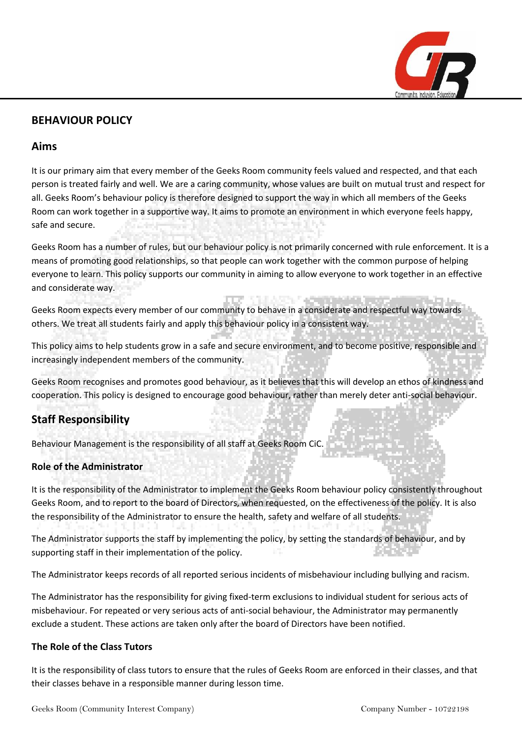

## **BEHAVIOUR POLICY**

### **Aims**

It is our primary aim that every member of the Geeks Room community feels valued and respected, and that each person is treated fairly and well. We are a caring community, whose values are built on mutual trust and respect for all. Geeks Room's behaviour policy is therefore designed to support the way in which all members of the Geeks Room can work together in a supportive way. It aims to promote an environment in which everyone feels happy, safe and secure.

Geeks Room has a number of rules, but our behaviour policy is not primarily concerned with rule enforcement. It is a means of promoting good relationships, so that people can work together with the common purpose of helping everyone to learn. This policy supports our community in aiming to allow everyone to work together in an effective and considerate way.

Geeks Room expects every member of our community to behave in a considerate and respectful way towards others. We treat all students fairly and apply this behaviour policy in a consistent way.

This policy aims to help students grow in a safe and secure environment, and to become positive, responsible and increasingly independent members of the community.

Geeks Room recognises and promotes good behaviour, as it believes that this will develop an ethos of kindness and cooperation. This policy is designed to encourage good behaviour, rather than merely deter anti-social behaviour.

# **Staff Responsibility**

Behaviour Management is the responsibility of all staff at Geeks Room CiC.

### **Role of the Administrator**

It is the responsibility of the Administrator to implement the Geeks Room behaviour policy consistently throughout Geeks Room, and to report to the board of Directors, when requested, on the effectiveness of the policy. It is also the responsibility of the Administrator to ensure the health, safety and welfare of all students.

The Administrator supports the staff by implementing the policy, by setting the standards of behaviour, and by supporting staff in their implementation of the policy.

The Administrator keeps records of all reported serious incidents of misbehaviour including bullying and racism.

The Administrator has the responsibility for giving fixed-term exclusions to individual student for serious acts of misbehaviour. For repeated or very serious acts of anti-social behaviour, the Administrator may permanently exclude a student. These actions are taken only after the board of Directors have been notified.

#### **The Role of the Class Tutors**

It is the responsibility of class tutors to ensure that the rules of Geeks Room are enforced in their classes, and that their classes behave in a responsible manner during lesson time.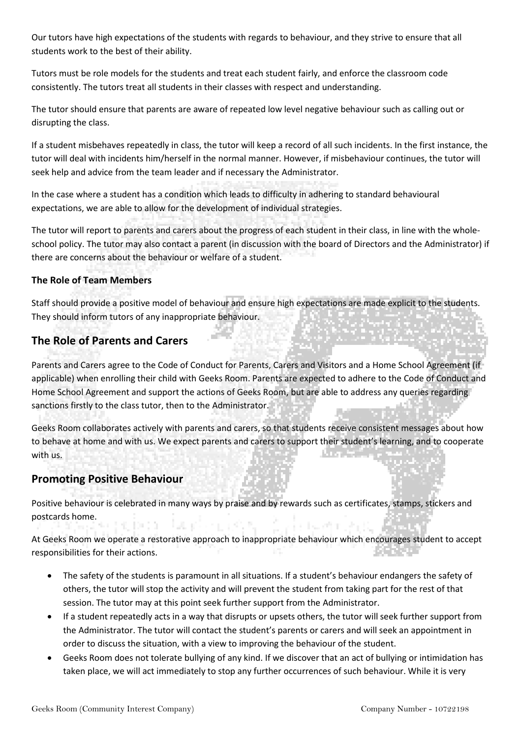Our tutors have high expectations of the students with regards to behaviour, and they strive to ensure that all students work to the best of their ability.

Tutors must be role models for the students and treat each student fairly, and enforce the classroom code consistently. The tutors treat all students in their classes with respect and understanding.

The tutor should ensure that parents are aware of repeated low level negative behaviour such as calling out or disrupting the class.

If a student misbehaves repeatedly in class, the tutor will keep a record of all such incidents. In the first instance, the tutor will deal with incidents him/herself in the normal manner. However, if misbehaviour continues, the tutor will seek help and advice from the team leader and if necessary the Administrator.

In the case where a student has a condition which leads to difficulty in adhering to standard behavioural expectations, we are able to allow for the development of individual strategies.

The tutor will report to parents and carers about the progress of each student in their class, in line with the wholeschool policy. The tutor may also contact a parent (in discussion with the board of Directors and the Administrator) if there are concerns about the behaviour or welfare of a student.

#### **The Role of Team Members**

Staff should provide a positive model of behaviour and ensure high expectations are made explicit to the students. They should inform tutors of any inappropriate behaviour.

## **The Role of Parents and Carers**

Parents and Carers agree to the Code of Conduct for Parents, Carers and Visitors and a Home School Agreement (if applicable) when enrolling their child with Geeks Room. Parents are expected to adhere to the Code of Conduct and Home School Agreement and support the actions of Geeks Room, but are able to address any queries regarding sanctions firstly to the class tutor, then to the Administrator.

Geeks Room collaborates actively with parents and carers, so that students receive consistent messages about how to behave at home and with us. We expect parents and carers to support their student's learning, and to cooperate with us.

## **Promoting Positive Behaviour**

Positive behaviour is celebrated in many ways by praise and by rewards such as certificates, stamps, stickers and postcards home. DO 10 A. I

At Geeks Room we operate a restorative approach to inappropriate behaviour which encourages student to accept responsibilities for their actions.

- The safety of the students is paramount in all situations. If a student's behaviour endangers the safety of others, the tutor will stop the activity and will prevent the student from taking part for the rest of that session. The tutor may at this point seek further support from the Administrator.
- If a student repeatedly acts in a way that disrupts or upsets others, the tutor will seek further support from the Administrator. The tutor will contact the student's parents or carers and will seek an appointment in order to discuss the situation, with a view to improving the behaviour of the student.
- Geeks Room does not tolerate bullying of any kind. If we discover that an act of bullying or intimidation has taken place, we will act immediately to stop any further occurrences of such behaviour. While it is very